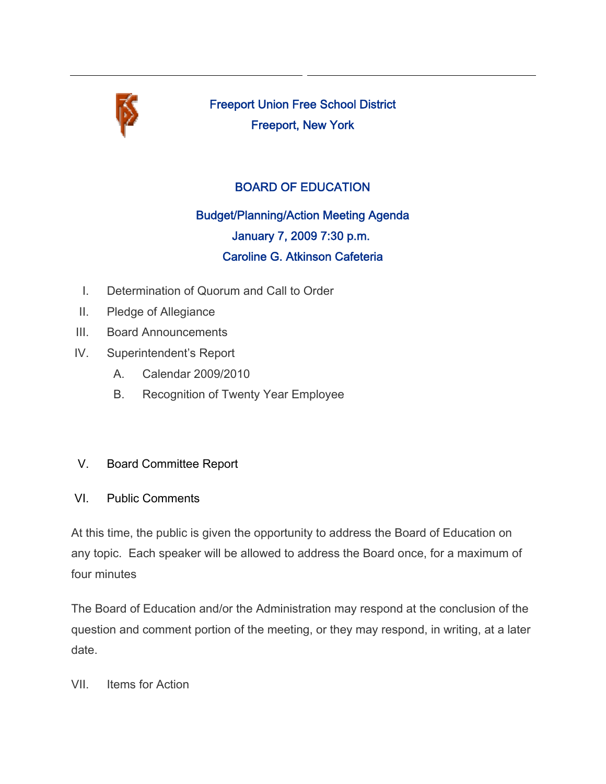

Freeport Union Free School District Freeport, New York

## BOARD OF EDUCATION

# Budget/Planning/Action Meeting Agenda January 7, 2009 7:30 p.m. Caroline G. Atkinson Cafeteria

- I. Determination of Quorum and Call to Order
- II. Pledge of Allegiance
- III. Board Announcements
- IV. Superintendent's Report
	- A. Calendar 2009/2010
	- B. Recognition of Twenty Year Employee

### V. Board Committee Report

### VI. Public Comments

At this time, the public is given the opportunity to address the Board of Education on any topic. Each speaker will be allowed to address the Board once, for a maximum of four minutes

The Board of Education and/or the Administration may respond at the conclusion of the question and comment portion of the meeting, or they may respond, in writing, at a later date.

VII. Items for Action